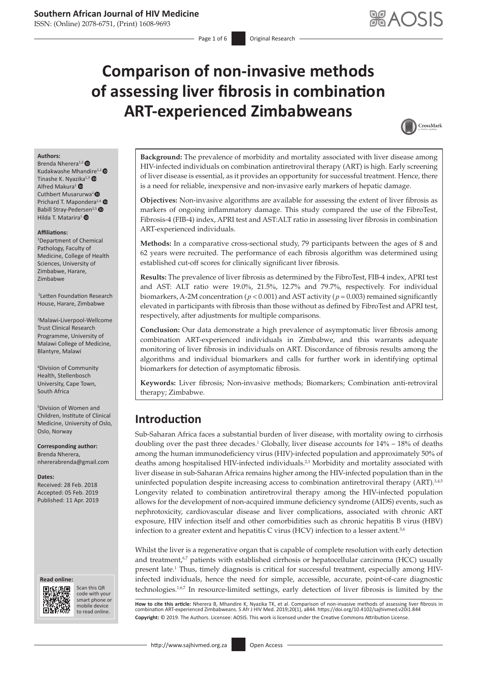ISSN: (Online) 2078-6751, (Print) 1608-9693

# **Comparison of non-invasive methods of assessing liver fibrosis in combination ART-experienced Zimbabweans**



#### **Authors:**

Brenda Nherera<sup>1,[2](http://orcid.org/0000-0002-2150-7949)</sup> Kudakwashe Mhan[dire](http://orcid.org/0000-0003-0367-4265)<sup>1,2</sup> Tinashe K. Nyazika $1,3$   $\bullet$ Alfred Makura<sup>[1](http://orcid.org/0000-0002-7586-1724)</sup> <sup>O</sup> Cuthbert Musarurwa<sup>1</sup><sup>®</sup> Prichard T. Mapondera<sup>1,[4](https://orcid.org/0000-0002-2763-3188)</sup> Babill Stray-Pedersen<sup>2,5</sup> Hilda T. Matarira<sup>[1](https://orcid.org/0000-0003-1760-4970)</sup> <sup>O</sup>

#### **Affiliations:**

1 Department of Chemical Pathology, Faculty of Medicine, College of Health Sciences, University of Zimbabwe, Harare, Zimbabwe

 2Letten Foundation Research House, Harare, Zimbabwe

3 Malawi-Liverpool-Wellcome Trust Clinical Research Programme, University of Malawi College of Medicine, Blantyre, Malawi

4 Division of Community Health, Stellenbosch University, Cape Town, South Africa

5 Division of Women and Children, Institute of Clinical Medicine, University of Oslo, Oslo, Norway

**Corresponding author:** Brenda Nherera, [nhererabrenda@gmail.com](mailto:nhererabrenda@gmail.com)

**Dates:** Received: 28 Feb. 2018 Accepted: 05 Feb. 2019 Published: 11 Apr. 2019

#### **Read online: Read online:**



Scan this QR code with your Scan this QR<br>code with your<br>smart phone or<br>mobile device mobile device to read online. to read online.

**Background:** The prevalence of morbidity and mortality associated with liver disease among HIV-infected individuals on combination antiretroviral therapy (ART) is high. Early screening of liver disease is essential, as it provides an opportunity for successful treatment. Hence, there is a need for reliable, inexpensive and non-invasive early markers of hepatic damage.

**Objectives:** Non-invasive algorithms are available for assessing the extent of liver fibrosis as markers of ongoing inflammatory damage. This study compared the use of the FibroTest, Fibrosis-4 (FIB-4) index, APRI test and AST:ALT ratio in assessing liver fibrosis in combination ART-experienced individuals.

**Methods:** In a comparative cross-sectional study, 79 participants between the ages of 8 and 62 years were recruited. The performance of each fibrosis algorithm was determined using established cut-off scores for clinically significant liver fibrosis.

**Results:** The prevalence of liver fibrosis as determined by the FibroTest, FIB-4 index, APRI test and AST: ALT ratio were 19.0%, 21.5%, 12.7% and 79.7%, respectively. For individual biomarkers, A-2M concentration ( $p < 0.001$ ) and AST activity ( $p = 0.003$ ) remained significantly elevated in participants with fibrosis than those without as defined by FibroTest and APRI test, respectively, after adjustments for multiple comparisons.

**Conclusion:** Our data demonstrate a high prevalence of asymptomatic liver fibrosis among combination ART-experienced individuals in Zimbabwe, and this warrants adequate monitoring of liver fibrosis in individuals on ART. Discordance of fibrosis results among the algorithms and individual biomarkers and calls for further work in identifying optimal biomarkers for detection of asymptomatic fibrosis.

**Keywords:** Liver fibrosis; Non-invasive methods; Biomarkers; Combination anti-retroviral therapy; Zimbabwe.

## **Introduction**

<span id="page-0-1"></span><span id="page-0-0"></span>Sub-Saharan Africa faces a substantial burden of liver disease, with mortality owing to cirrhosis doubling over the past three decades.<sup>[1](#page-4-0)</sup> Globally, liver disease accounts for  $14\% - 18\%$  of deaths among the human immunodeficiency virus (HIV)-infected population and approximately 50% of deaths among hospitalised HIV-infected individuals.<sup>[2](#page-0-0),3</sup> Morbidity and mortality associated with liver disease in sub-Saharan Africa remains higher among the HIV-infected population than in the uninfected population despite increasing access to combination antiretroviral therapy (ART).<sup>3,4,5</sup> Longevity related to combination antiretroviral therapy among the HIV-infected population allows for the development of non-acquired immune deficiency syndrome (AIDS) events, such as nephrotoxicity, cardiovascular disease and liver complications, associated with chronic ART exposure, HIV infection itself and other comorbidities such as chronic hepatitis B virus (HBV) infection to a greater extent and hepatitis C virus (HCV) infection to a lesser axtent.<sup>5,6</sup>

Whilst the liver is a regenerative organ that is capable of complete resolution with early detection and treatment,<sup>6,7</sup> patients with established cirrhosis or hepatocellular carcinoma (HCC) usually present late.<sup>[1](#page-4-0)</sup> Thus, timely diagnosis is critical for successful treatment, especially among HIVinfected individuals, hence the need for simple, accessible, accurate, point-of-care diagnostic technologies.<sup>[1,](#page-4-0)6,7</sup> In resource-limited settings, early detection of liver fibrosis is limited by the

How to cite this article: Nherera B, Mhandire K, Nyazika TK, et al. Comparison of non-invasive methods of assessing liver fibrosis in<br>combination ART-experienced Zimbabweans. S Afr J HIV Med. 2019;20(1), a844. https://doi. **Copyright:** © 2019. The Authors. Licensee: AOSIS. This work is licensed under the Creative Commons Attribution License.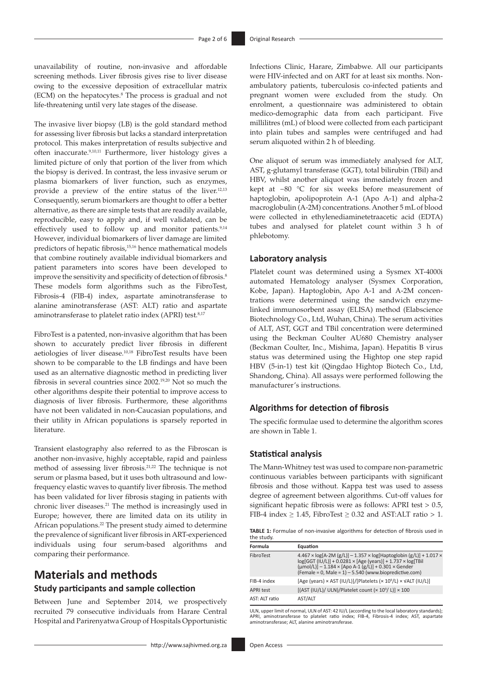unavailability of routine, non-invasive and affordable screening methods. Liver fibrosis gives rise to liver disease owing to the excessive deposition of extracellular matrix (ECM) on the hepatocytes.8 The process is gradual and not life-threatening until very late stages of the disease.

<span id="page-1-1"></span>The invasive liver biopsy (LB) is the gold standard method for assessing liver fibrosis but lacks a standard interpretation protocol. This makes interpretation of results subjective and often inaccurate.9,[10](#page-5-0)[,11](#page-5-1) Furthermore, liver histology gives a limited picture of only that portion of the liver from which the biopsy is derived. In contrast, the less invasive serum or plasma biomarkers of liver function, such as enzymes, provide a preview of the entire status of the liver.[12](#page-5-2)[,13](#page-5-3) Consequently, serum biomarkers are thought to offer a better alternative, as there are simple tests that are readily available, reproducible, easy to apply and, if well validated, can be effectively used to follow up and monitor patients.<sup>9[,14](#page-5-4)</sup> However, individual biomarkers of liver damage are limited predictors of hepatic fibrosis[,15,](#page-5-5)[16](#page-5-6) hence mathematical models that combine routinely available individual biomarkers and patient parameters into scores have been developed to improve the sensitivity and specificity of detection of fibrosis.<sup>8</sup> These models form algorithms such as the FibroTest, Fibrosis-4 (FIB-4) index, aspartate aminotransferase to alanine aminotransferase (AST: ALT) ratio and aspartate aminotransferase to platelet ratio index (APRI) test.<sup>8,[17](#page-5-7)</sup>

<span id="page-1-8"></span><span id="page-1-4"></span>FibroTest is a patented, non-invasive algorithm that has been shown to accurately predict liver fibrosis in different aetiologies of liver disease[.10,](#page-5-0)[18](#page-5-8) FibroTest results have been shown to be comparable to the LB findings and have been used as an alternative diagnostic method in predicting liver fibrosis in several countries since 2002[.19](#page-5-9),[20](#page-5-10) Not so much the other algorithms despite their potential to improve access to diagnosis of liver fibrosis. Furthermore, these algorithms have not been validated in non-Caucasian populations, and their utility in African populations is sparsely reported in literature.

<span id="page-1-10"></span>Transient elastography also referred to as the Fibroscan is another non-invasive, highly acceptable, rapid and painless method of assessing liver fibrosis.[21](#page-5-11)[,22](#page-5-12) The technique is not serum or plasma based, but it uses both ultrasound and lowfrequency elastic waves to quantify liver fibrosis. The method has been validated for liver fibrosis staging in patients with chronic liver diseases[.21](#page-5-11) The method is increasingly used in Europe; however, there are limited data on its utility in African populations.[22](#page-5-12) The present study aimed to determine the prevalence of significant liver fibrosis in ART-experienced individuals using four serum-based algorithms and comparing their performance.

### **Materials and methods Study participants and sample collection**

Between June and September 2014, we prospectively recruited 79 consecutive individuals from Harare Central Hospital and Parirenyatwa Group of Hospitals Opportunistic Infections Clinic, Harare, Zimbabwe. All our participants were HIV-infected and on ART for at least six months. Nonambulatory patients, tuberculosis co-infected patients and pregnant women were excluded from the study. On enrolment, a questionnaire was administered to obtain medico-demographic data from each participant. Five millilitres (mL) of blood were collected from each participant into plain tubes and samples were centrifuged and had serum aliquoted within 2 h of bleeding.

<span id="page-1-2"></span><span id="page-1-0"></span>One aliquot of serum was immediately analysed for ALT, AST, g-glutamyl transferase (GGT), total bilirubin (TBil) and HBV, whilst another aliquot was immediately frozen and kept at −80 °C for six weeks before measurement of haptoglobin, apolipoprotein A-1 (Apo A-1) and alpha-2 macroglobulin (A-2M) concentrations. Another 5 mL of blood were collected in ethylenediaminetetraacetic acid (EDTA) tubes and analysed for platelet count within 3 h of phlebotomy.

#### <span id="page-1-5"></span><span id="page-1-3"></span>**Laboratory analysis**

<span id="page-1-6"></span>Platelet count was determined using a Sysmex XT-4000i automated Hematology analyser (Sysmex Corporation, Kobe, Japan). Haptoglobin, Apo A-1 and A-2M concentrations were determined using the sandwich enzymelinked immunosorbent assay (ELISA) method (Elabscience Biotechnology Co., Ltd, Wuhan, China). The serum activities of ALT, AST, GGT and TBil concentration were determined using the Beckman Coulter AU680 Chemistry analyser (Beckman Coulter, Inc., Mishima, Japan). Hepatitis B virus status was determined using the Hightop one step rapid HBV (5-in-1) test kit (Qingdao Hightop Biotech Co., Ltd, Shandong, China). All assays were performed following the manufacturer's instructions.

### <span id="page-1-9"></span><span id="page-1-7"></span>**Algorithms for detection of fibrosis**

The specific formulae used to determine the algorithm scores are shown in Table 1.

#### **Statistical analysis**

<span id="page-1-11"></span>The Mann-Whitney test was used to compare non-parametric continuous variables between participants with significant fibrosis and those without. Kappa test was used to assess degree of agreement between algorithms. Cut-off values for significant hepatic fibrosis were as follows: APRI test > 0.5, FIB-4 index  $\geq 1.45$ , FibroTest  $\geq 0.32$  and AST:ALT ratio  $> 1$ .

**TABLE 1:** Formulae of non-invasive algorithms for detection of fibrosis used in the study.

| Formula          | Equation                                                                                                                                                                                                                                                                                     |
|------------------|----------------------------------------------------------------------------------------------------------------------------------------------------------------------------------------------------------------------------------------------------------------------------------------------|
| FibroTest        | $4.467 \times \log[A-2M(g/L)] - 1.357 \times \log[Haptoplobin(g/L)] + 1.017 \times$<br>$log[GGT (IU/L)] + 0.0281 \times [Age (years)] + 1.737 \times log[TBil]$<br>$(\mu mol/L)$ ] – 1.184 × [Apo A-1 $(g/L)$ ] + 0.301 × Gender<br>(Female = 0, Male = $1)$ – 5.540 (www.biopredictive.com) |
| FIB-4 index      | [Age (years) $\times$ AST (IU/L)]/[Platelets ( $\times$ 10 <sup>9</sup> /L) $\times$ VALT (IU/L)]                                                                                                                                                                                            |
| <b>APRI test</b> | [(AST (IU/L)/ ULN)/Platelet count $(x 10^9 / L)$ ] $\times 100$                                                                                                                                                                                                                              |
| AST: ALT ratio   | AST/ALT                                                                                                                                                                                                                                                                                      |

ULN, upper limit of normal, ULN of AST: 42 IU/L (according to the local laboratory standards); APRI, aminotransferase to platelet ratio index; FIB-4, Fibrosis-4 index; AST, aspartate aminotransferase; ALT, alanine aminotransferase.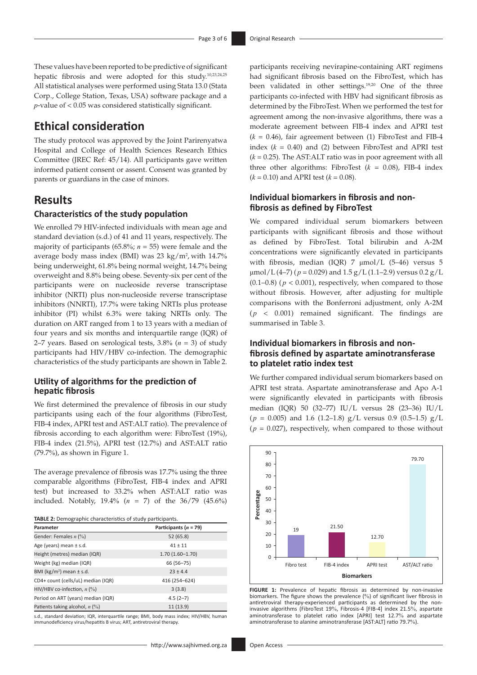These values have been reported to be predictive of significant hepatic fibrosis and were adopted for this study.[10,](#page-5-0)[23](#page-5-13),[24](#page-5-14)[,25](#page-5-15) All statistical analyses were performed using Stata 13.0 (Stata Corp., College Station, Texas, USA) software package and a *p*-value of < 0.05 was considered statistically significant.

### **Ethical consideration**

The study protocol was approved by the Joint Parirenyatwa Hospital and College of Health Sciences Research Ethics Committee (JREC Ref: 45/14). All participants gave written informed patient consent or assent. Consent was granted by parents or guardians in the case of minors.

### **Results**

#### **Characteristics of the study population**

We enrolled 79 HIV-infected individuals with mean age and standard deviation (s.d.) of 41 and 11 years, respectively. The majority of participants (65.8%; *n* = 55) were female and the average body mass index (BMI) was 23 kg/m<sup>2</sup>, with 14.7% being underweight, 61.8% being normal weight, 14.7% being overweight and 8.8% being obese. Seventy-six per cent of the participants were on nucleoside reverse transcriptase inhibitor (NRTI) plus non-nucleoside reverse transcriptase inhibitors (NNRTI), 17.7% were taking NRTIs plus protease inhibitor (PI) whilst 6.3% were taking NRTIs only. The duration on ART ranged from 1 to 13 years with a median of four years and six months and interquartile range (IQR) of 2–7 years. Based on serological tests, 3.8% (*n* = 3) of study participants had HIV/HBV co-infection. The demographic characteristics of the study participants are shown in Table 2.

#### **Utility of algorithms for the prediction of hepatic fibrosis**

We first determined the prevalence of fibrosis in our study participants using each of the four algorithms (FibroTest, FIB-4 index, APRI test and AST:ALT ratio). The prevalence of fibrosis according to each algorithm were: FibroTest (19%), FIB-4 index (21.5%), APRI test (12.7%) and AST:ALT ratio (79.7%), as shown in Figure 1.

The average prevalence of fibrosis was 17.7% using the three comparable algorithms (FibroTest, FIB-4 index and APRI test) but increased to 33.2% when AST:ALT ratio was included. Notably, 19.4% (*n* = 7) of the 36/79 (45.6%)

| Parameter                                | Participants ( $n = 79$ ) |
|------------------------------------------|---------------------------|
| Gender: Females $n$ (%)                  | 52(65.8)                  |
| Age (years) mean $\pm$ s.d.              | $41 + 11$                 |
| Height (metres) median (IQR)             | $1.70(1.60 - 1.70)$       |
| Weight (kg) median (IQR)                 | 66 (56-75)                |
| BMI (kg/m <sup>2</sup> ) mean $\pm$ s.d. | $23 \pm 4.4$              |
| CD4+ count (cells/uL) median (IQR)       | 416 (254-624)             |
| HIV/HBV co-infection, $n$ (%)            | 3(3.8)                    |
| Period on ART (years) median (IQR)       | $4.5(2 - 7)$              |
| Patients taking alcohol, $n$ (%)         | 11(13.9)                  |

s.d., standard deviation; IQR, interquartile range; BMI, body mass index; HIV/HBV, human immunodeficiency virus/hepatitis B virus; ART, antiretroviral therapy.

<span id="page-2-0"></span>participants receiving nevirapine-containing ART regimens had significant fibrosis based on the FibroTest, which has been validated in other settings.[19](#page-5-9)[,20](#page-5-10) One of the three participants co-infected with HBV had significant fibrosis as determined by the FibroTest. When we performed the test for agreement among the non-invasive algorithms, there was a moderate agreement between FIB-4 index and APRI test  $(k = 0.46)$ , fair agreement between (1) FibroTest and FIB-4 index (*k* = 0.40) and (2) between FibroTest and APRI test  $(k = 0.25)$ . The AST:ALT ratio was in poor agreement with all three other algorithms: FibroTest  $(k = 0.08)$ , FIB-4 index  $(k = 0.10)$  and APRI test  $(k = 0.08)$ .

#### **Individual biomarkers in fibrosis and nonfibrosis as defined by FibroTest**

We compared individual serum biomarkers between participants with significant fibrosis and those without as defined by FibroTest. Total bilirubin and A-2M concentrations were significantly elevated in participants with fibrosis, median (IQR) 7 μmol/L (5–46) versus 5  $\mu$ mol/L(4–7) ( $p = 0.029$ ) and 1.5 g/L(1.1–2.9) versus 0.2 g/L (0.1–0.8) ( $p < 0.001$ ), respectively, when compared to those without fibrosis. However, after adjusting for multiple comparisons with the Bonferroni adjustment, only A-2M  $(p \lt 0.001)$  remained significant. The findings are summarised in Table 3.

### **Individual biomarkers in fibrosis and nonfibrosis defined by aspartate aminotransferase to platelet ratio index test**

We further compared individual serum biomarkers based on APRI test strata. Aspartate aminotransferase and Apo A-1 were significantly elevated in participants with fibrosis median (IQR) 50 (32–77) IU/L versus 28 (23–36) IU/L  $(p = 0.005)$  and 1.6 (1.2–1.8) g/L versus 0.9 (0.5–1.5) g/L  $(p = 0.027)$ , respectively, when compared to those without



**FIGURE 1:** Prevalence of hepatic fibrosis as determined by non-invasive biomarkers. The figure shows the prevalence (%) of significant liver fibrosis in antiretroviral therapy-experienced participants as determined by the noninvasive algorithms (FibroTest 19%, Fibrosis-4 [FIB-4] index 21.5%, aspartate aminotransferase to platelet ratio index [APRI] test 12.7% and aspartate aminotransferase to alanine aminotransferase [AST:ALT] ratio 79.7%).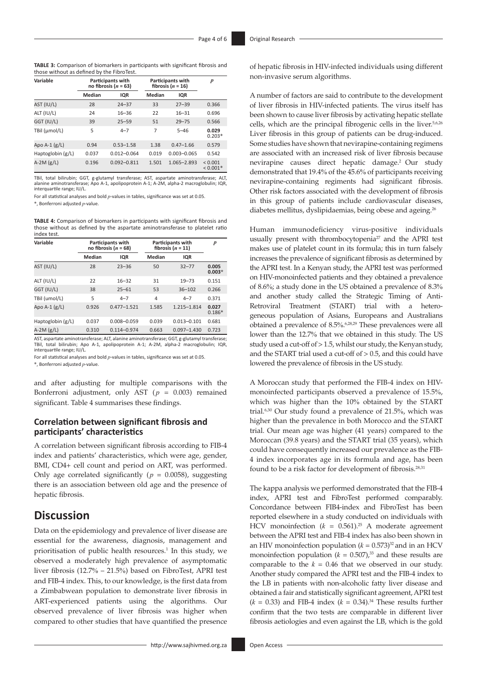| <b>TABLE 3:</b> Comparison of biomarkers in participants with significant fibrosis and |  |  |  |
|----------------------------------------------------------------------------------------|--|--|--|
| those without as defined by the FibroTest.                                             |  |  |  |

| Variable          | Participants with<br>no fibrosis ( $n = 63$ ) |                 | <b>Participants with</b><br>fibrosis $(n = 16)$ |                 | $\boldsymbol{p}$      |
|-------------------|-----------------------------------------------|-----------------|-------------------------------------------------|-----------------|-----------------------|
|                   | Median                                        | <b>IQR</b>      | Median                                          | IQR             |                       |
| AST (IU/L)        | 28                                            | $24 - 37$       | 33                                              | $27 - 39$       | 0.366                 |
| ALT (IU/L)        | 24                                            | $16 - 36$       | 22                                              | $16 - 31$       | 0.696                 |
| GGT (IU/L)        | 39                                            | $25 - 59$       | 51                                              | $29 - 75$       | 0.566                 |
| TBil (µmol/L)     | 5                                             | $4 - 7$         | 7                                               | $5 - 46$        | 0.029<br>$0.203*$     |
| Apo A-1 $(g/L)$   | 0.94                                          | $0.53 - 1.58$   | 1.38                                            | $0.47 - 1.66$   | 0.579                 |
| Haptoglobin (g/L) | 0.037                                         | $0.012 - 0.064$ | 0.019                                           | $0.003 - 0.065$ | 0.542                 |
| A-2M $(g/L)$      | 0.196                                         | $0.092 - 0.811$ | 1.501                                           | 1.065-2.893     | < 0.001<br>$< 0.001*$ |

TBil, total bilirubin; GGT, g-glutamyl transferase; AST, aspartate aminotransferase; ALT, alanine aminotransferase; Apo A-1, apolipoprotein A-1; A-2M, alpha-2 macroglobulin; IQR, interquartile range; IU/L.

For all statistical analyses and bold *p*-values in tables, significance was set at 0.05.

\*, Bonferroni adjusted *p*-value.

**TABLE 4:** Comparison of biomarkers in participants with significant fibrosis and those without as defined by the aspartate aminotransferase to platelet ratio index test.

| Variable                                                                                                                                                                                                                                               | Participants with<br>no fibrosis ( $n = 68$ ) |                 | <b>Participants with</b><br>fibrosis $(n = 11)$ |                 | $\boldsymbol{p}$  |
|--------------------------------------------------------------------------------------------------------------------------------------------------------------------------------------------------------------------------------------------------------|-----------------------------------------------|-----------------|-------------------------------------------------|-----------------|-------------------|
|                                                                                                                                                                                                                                                        | <b>Median</b>                                 | IQR             | Median                                          | IQR             |                   |
| AST (IU/L)                                                                                                                                                                                                                                             | 28                                            | $23 - 36$       | 50                                              | $32 - 77$       | 0.005<br>$0.003*$ |
| ALT (IU/L)                                                                                                                                                                                                                                             | 22                                            | $16 - 32$       | 31                                              | $19 - 73$       | 0.151             |
| GGT (IU/L)                                                                                                                                                                                                                                             | 38                                            | $25 - 61$       | 53                                              | $36 - 102$      | 0.266             |
| TBil (umol/L)                                                                                                                                                                                                                                          | 5                                             | $4 - 7$         | 4                                               | $4 - 7$         | 0.371             |
| Apo A-1 $(g/L)$                                                                                                                                                                                                                                        | 0.926                                         | $0.477 - 1.521$ | 1.585                                           | 1.215-1.814     | 0.027<br>$0.186*$ |
| Haptoglobin (g/L)                                                                                                                                                                                                                                      | 0.037                                         | $0.008 - 0.059$ | 0.039                                           | $0.013 - 0.101$ | 0.681             |
| A-2M $(g/L)$                                                                                                                                                                                                                                           | 0.310                                         | $0.114 - 0.974$ | 0.663                                           | $0.097 - 1.430$ | 0.723             |
| $\mathbf{A} \mathbf{C} \mathbf{T}$ . The contract of the contract of the contract of the contract of $\mathbf{C} \mathbf{T}$ is a contract of the contract of the contract of the contract of the contract of the contract of the contract of the cont |                                               |                 |                                                 |                 |                   |

AST, aspartate aminotransferase; ALT, alanine aminotransferase; GGT, g-glutamyl transferase; TBil, total bilirubin; Apo A-1, apolipoprotein A-1; A-2M, alpha-2 macroglobulin; IQR, interquartile range; IU/L.

For all statistical analyses and bold *p*-values in tables, significance was set at 0.05.

\*, Bonferroni adjusted *p*-value.

and after adjusting for multiple comparisons with the Bonferroni adjustment, only AST ( $p = 0.003$ ) remained significant. Table 4 summarises these findings.

#### **Correlation between significant fibrosis and participants' characteristics**

A correlation between significant fibrosis according to FIB-4 index and patients' characteristics, which were age, gender, BMI, CD4+ cell count and period on ART, was performed. Only age correlated significantly ( $p = 0.0058$ ), suggesting there is an association between old age and the presence of hepatic fibrosis.

### **Discussion**

Data on the epidemiology and prevalence of liver disease are essential for the awareness, diagnosis, management and prioritisation of public health resources.<sup>1</sup> In this study, we observed a moderately high prevalence of asymptomatic liver fibrosis (12.7% – 21.5%) based on FibroTest, APRI test and FIB-4 index. This, to our knowledge, is the first data from a Zimbabwean population to demonstrate liver fibrosis in ART-experienced patients using the algorithms. Our observed prevalence of liver fibrosis was higher when compared to other studies that have quantified the presence

of hepatic fibrosis in HIV-infected individuals using different non-invasive serum algorithms.

<span id="page-3-0"></span>A number of factors are said to contribute to the development of liver fibrosis in HIV-infected patients. The virus itself has been shown to cause liver fibrosis by activating hepatic stellate cells, which are the principal fibrogenic cells in the liver.5,6,[26](#page-5-16) Liver fibrosis in this group of patients can be drug-induced. Some studies have shown that nevirapine-containing regimens are associated with an increased risk of liver fibrosis because nevirapine causes direct hepatic damage[.2 O](#page-4-1)ur study demonstrated that 19.4% of the 45.6% of participants receiving nevirapine-containing regiments had significant fibrosis. Other risk factors associated with the development of fibrosis in this group of patients include cardiovascular diseases, diabetes mellitus, dyslipidaemias, being obese and ageing.<sup>26</sup>

<span id="page-3-1"></span>Human immunodeficiency virus-positive individuals usually present with thrombocytopenia $^{27}$  and the APRI test makes use of platelet count in its formula; this in turn falsely increases the prevalence of significant fibrosis as determined by the APRI test. In a Kenyan study, the APRI test was performed on HIV-monoinfected patients and they obtained a prevalence of 8.6%; a study done in the US obtained a prevalence of 8.3% and another study called the Strategic Timing of Anti-Retroviral Treatment (START) trial with a heterogeneous population of Asians, Europeans and Australians obtained a prevalence of 8.5%.<sup>6[,28](#page-5-18),29</sup> These prevalences were all lower than the 12.7% that we obtained in this study. The US study used a cut-off of > 1.5, whilst our study, the Kenyan study, and the START trial used a cut-off of > 0.5, and this could have lowered the prevalence of fibrosis in the US study.

<span id="page-3-3"></span><span id="page-3-2"></span>A Moroccan study that performed the FIB-4 index on HIVmonoinfected participants observed a prevalence of 15.5%, which was higher than the 10% obtained by the START trial.6[,30](#page-5-20) Our study found a prevalence of 21.5%, which was higher than the prevalence in both Morocco and the START trial. Our mean age was higher (41 years) compared to the Moroccan (39.8 years) and the START trial (35 years), which could have consequently increased our prevalence as the FIB-4 index incorporates age in its formula and age, has been found to be a risk factor for development of fibrosis.<sup>[28](#page-5-18)[,31](#page-5-21)</sup>

<span id="page-3-5"></span><span id="page-3-4"></span>The kappa analysis we performed demonstrated that the FIB-4 index, APRI test and FibroTest performed comparably. Concordance between FIB4-index and FibroTest has been reported elsewhere in a study conducted on individuals with HCV monoinfection  $(k = 0.561)^{25}$  A moderate agreement between the APRI test and FIB-4 index has also been shown in an HIV monoinfection population  $(k = 0.573)^{32}$  and in an HCV monoinfection population  $(k = 0.507)$ ,<sup>33</sup> and these results are comparable to the  $k = 0.46$  that we observed in our study. Another study compared the APRI test and the FIB-4 index to the LB in patients with non-alcoholic fatty liver disease and obtained a fair and statistically significant agreement, APRI test  $(k = 0.33)$  and FIB-4 index  $(k = 0.34).^{34}$  These results further confirm that the two tests are comparable in different liver fibrosis aetiologies and even against the LB, which is the gold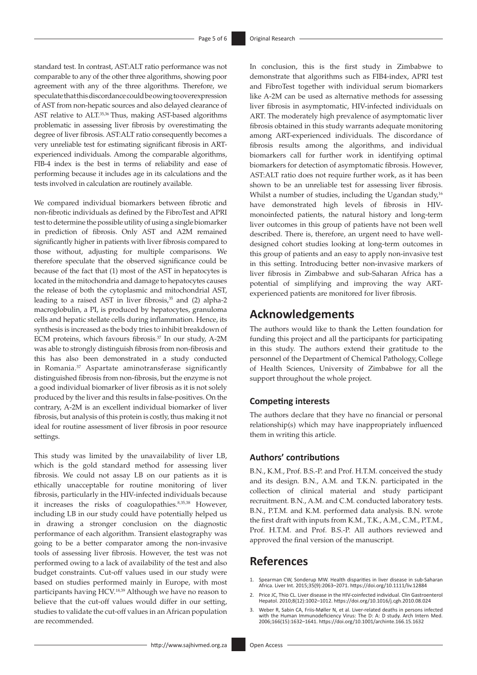standard test. In contrast, AST:ALT ratio performance was not comparable to any of the other three algorithms, showing poor agreement with any of the three algorithms. Therefore, we speculate that this discordance could be owing to overexpression of AST from non-hepatic sources and also delayed clearance of AST relative to ALT.<sup>35,36</sup> Thus, making AST-based algorithms problematic in assessing liver fibrosis by overestimating the degree of liver fibrosis. AST:ALT ratio consequently becomes a very unreliable test for estimating significant fibrosis in ARTexperienced individuals. Among the comparable algorithms, FIB-4 index is the best in terms of reliability and ease of performing because it includes age in its calculations and the tests involved in calculation are routinely available.

We compared individual biomarkers between fibrotic and non-fibrotic individuals as defined by the FibroTest and APRI test to determine the possible utility of using a single biomarker in prediction of fibrosis. Only AST and A2M remained significantly higher in patients with liver fibrosis compared to those without, adjusting for multiple comparisons. We therefore speculate that the observed significance could be because of the fact that (1) most of the AST in hepatocytes is located in the mitochondria and damage to hepatocytes causes the release of both the cytoplasmic and mitochondrial AST, leading to a raised AST in liver fibrosis, $35$  and (2) alpha-2 macroglobulin, a PI, is produced by hepatocytes, granuloma cells and hepatic stellate cells during inflammation. Hence, its synthesis is increased as the body tries to inhibit breakdown of ECM proteins, which favours fibrosis.<sup>37</sup> In our study, A-2M was able to strongly distinguish fibrosis from non-fibrosis and this has also been demonstrated in a study conducted in Romania.37 Aspartate aminotransferase significantly distinguished fibrosis from non-fibrosis, but the enzyme is not a good individual biomarker of liver fibrosis as it is not solely produced by the liver and this results in false-positives. On the contrary, A-2M is an excellent individual biomarker of liver fibrosis, but analysis of this protein is costly, thus making it not ideal for routine assessment of liver fibrosis in poor resource settings.

This study was limited by the unavailability of liver LB, which is the gold standard method for assessing liver fibrosis. We could not assay LB on our patients as it is ethically unacceptable for routine monitoring of liver fibrosis, particularly in the HIV-infected individuals because it increases the risks of coagulopathies.8,35,38 However, including LB in our study could have potentially helped us in drawing a stronger conclusion on the diagnostic performance of each algorithm. Transient elastography was going to be a better comparator among the non-invasive tools of assessing liver fibrosis. However, the test was not performed owing to a lack of availability of the test and also budget constraints. Cut-off values used in our study were based on studies performed mainly in Europe, with most participants having HCV[.18,](#page-5-8)39 Although we have no reason to believe that the cut-off values would differ in our setting, studies to validate the cut-off values in an African population are recommended.

In conclusion, this is the first study in Zimbabwe to demonstrate that algorithms such as FIB4-index, APRI test and FibroTest together with individual serum biomarkers like A-2M can be used as alternative methods for assessing liver fibrosis in asymptomatic, HIV-infected individuals on ART. The moderately high prevalence of asymptomatic liver fibrosis obtained in this study warrants adequate monitoring among ART-experienced individuals. The discordance of fibrosis results among the algorithms, and individual biomarkers call for further work in identifying optimal biomarkers for detection of asymptomatic fibrosis. However, AST:ALT ratio does not require further work, as it has been shown to be an unreliable test for assessing liver fibrosis. Whilst a number of studies, including the Ugandan study,<sup>[16](#page-5-6)</sup> have demonstrated high levels of fibrosis in HIVmonoinfected patients, the natural history and long-term liver outcomes in this group of patients have not been well described. There is, therefore, an urgent need to have welldesigned cohort studies looking at long-term outcomes in this group of patients and an easy to apply non-invasive test in this setting. Introducing better non-invasive markers of liver fibrosis in Zimbabwe and sub-Saharan Africa has a potential of simplifying and improving the way ARTexperienced patients are monitored for liver fibrosis.

# **Acknowledgements**

The authors would like to thank the Letten foundation for funding this project and all the participants for participating in this study. The authors extend their gratitude to the personnel of the Department of Chemical Pathology, College of Health Sciences, University of Zimbabwe for all the support throughout the whole project.

#### **Competing interests**

The authors declare that they have no financial or personal relationship(s) which may have inappropriately influenced them in writing this article.

#### **Authors' contributions**

B.N., K.M., Prof. B.S.-P. and Prof. H.T.M. conceived the study and its design. B.N., A.M. and T.K.N. participated in the collection of clinical material and study participant recruitment. B.N., A.M. and C.M. conducted laboratory tests. B.N., P.T.M. and K.M. performed data analysis. B.N. wrote the first draft with inputs from K.M., T.K., A.M., C.M., P.T.M., Prof. H.T.M. and Prof. B.S.-P. All authors reviewed and approved the final version of the manuscript.

### **References**

- <span id="page-4-0"></span>Spearman CW, Sonderup MW. Health disparities in liver disease in sub-Saharan [Africa. Liver Int. 2015;35\(9\):2063–2071.](#page-0-1) <https://doi.org/10.1111/liv.12884>
- <span id="page-4-1"></span>2. Price JC, Thio CL. Liver disease in the HIV-coinfected individual. Clin Gastroenterol [Hepatol. 2010;8\(12\):1002–1012.](#page-0-0) <https://doi.org/10.1016/j.cgh.2010.08.024>
- 3. Weber R, Sabin CA, Friis-Møller N, et al. Liver-related deaths in persons infected with the Human Immunodeficiency Virus: The D: A: D study. Arch Intern Med. 2006;166(15):1632–1641. <https://doi.org/10.1001/archinte.166.15.1632>